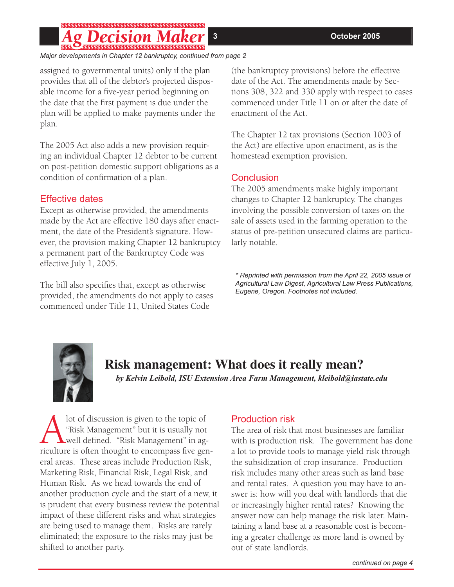# 

*Major developments in Chapter 12 bankruptcy, continued from page 2*

assigned to governmental units) only if the plan provides that all of the debtor's projected disposable income for a five-year period beginning on the date that the first payment is due under the plan will be applied to make payments under the plan.

The 2005 Act also adds a new provision requiring an individual Chapter 12 debtor to be current on post-petition domestic support obligations as a condition of confirmation of a plan.

## Effective dates

Except as otherwise provided, the amendments made by the Act are effective 180 days after enactment, the date of the President's signature. However, the provision making Chapter 12 bankruptcy a permanent part of the Bankruptcy Code was effective July 1, 2005.

The bill also specifies that, except as otherwise provided, the amendments do not apply to cases commenced under Title 11, United States Code

(the bankruptcy provisions) before the effective date of the Act. The amendments made by Sections 308, 322 and 330 apply with respect to cases commenced under Title 11 on or after the date of enactment of the Act.

The Chapter 12 tax provisions (Section 1003 of the Act) are effective upon enactment, as is the homestead exemption provision.

## Conclusion

The 2005 amendments make highly important changes to Chapter 12 bankruptcy. The changes involving the possible conversion of taxes on the sale of assets used in the farming operation to the status of pre-petition unsecured claims are particularly notable.

*\* Reprinted with permission from the April 22, 2005 issue of Agricultural Law Digest, Agricultural Law Press Publications, Eugene, Oregon. Footnotes not included.*



## **Risk management: What does it really mean?**

*by Kelvin Leibold, ISU Extension Area Farm Management, kleibold@iastate.edu*

Alot of discussion is given to the topic of<br>
"Risk Management" but it is usually not<br>
well defined. "Risk Management" in ag-<br>
riculture is often thought to encompass five ger "Risk Management" but it is usually not well defined. "Risk Management" in agriculture is often thought to encompass five general areas. These areas include Production Risk, Marketing Risk, Financial Risk, Legal Risk, and Human Risk. As we head towards the end of another production cycle and the start of a new, it is prudent that every business review the potential impact of these different risks and what strategies are being used to manage them. Risks are rarely eliminated; the exposure to the risks may just be shifted to another party.

## Production risk

The area of risk that most businesses are familiar with is production risk. The government has done a lot to provide tools to manage yield risk through the subsidization of crop insurance. Production risk includes many other areas such as land base and rental rates. A question you may have to answer is: how will you deal with landlords that die or increasingly higher rental rates? Knowing the answer now can help manage the risk later. Maintaining a land base at a reasonable cost is becoming a greater challenge as more land is owned by out of state landlords.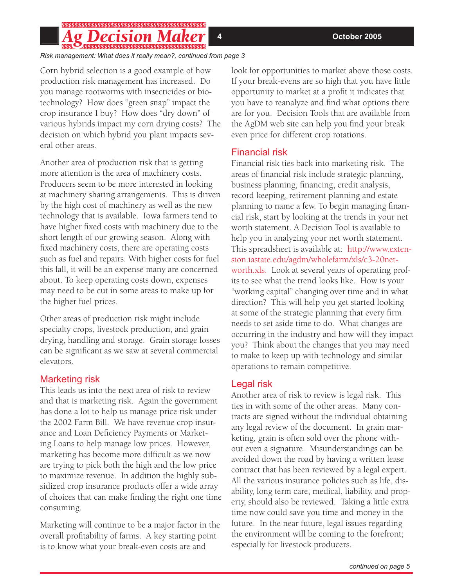# 

*Risk management: What does it really mean?, continued from page 3*

Corn hybrid selection is a good example of how production risk management has increased. Do you manage rootworms with insecticides or biotechnology? How does "green snap" impact the crop insurance I buy? How does "dry down" of various hybrids impact my corn drying costs? The decision on which hybrid you plant impacts several other areas.

Another area of production risk that is getting more attention is the area of machinery costs. Producers seem to be more interested in looking at machinery sharing arrangements. This is driven by the high cost of machinery as well as the new technology that is available. Iowa farmers tend to have higher fixed costs with machinery due to the short length of our growing season. Along with fixed machinery costs, there are operating costs such as fuel and repairs. With higher costs for fuel this fall, it will be an expense many are concerned about. To keep operating costs down, expenses may need to be cut in some areas to make up for the higher fuel prices.

Other areas of production risk might include specialty crops, livestock production, and grain drying, handling and storage. Grain storage losses can be significant as we saw at several commercial elevators.

## Marketing risk

This leads us into the next area of risk to review and that is marketing risk. Again the government has done a lot to help us manage price risk under the 2002 Farm Bill. We have revenue crop insurance and Loan Deficiency Payments or Marketing Loans to help manage low prices. However, marketing has become more difficult as we now are trying to pick both the high and the low price to maximize revenue. In addition the highly subsidized crop insurance products offer a wide array of choices that can make finding the right one time consuming.

Marketing will continue to be a major factor in the overall profitability of farms. A key starting point is to know what your break-even costs are and

look for opportunities to market above those costs. If your break-evens are so high that you have little opportunity to market at a profit it indicates that you have to reanalyze and find what options there are for you. Decision Tools that are available from the AgDM web site can help you find your break even price for different crop rotations.

## Financial risk

Financial risk ties back into marketing risk. The areas of financial risk include strategic planning, business planning, financing, credit analysis, record keeping, retirement planning and estate planning to name a few. To begin managing financial risk, start by looking at the trends in your net worth statement. A Decision Tool is available to help you in analyzing your net worth statement. This spreadsheet is available at: http://www.extension.iastate.edu/agdm/wholefarm/xls/c3-20networth.xls. Look at several years of operating profits to see what the trend looks like. How is your "working capital" changing over time and in what direction? This will help you get started looking at some of the strategic planning that every firm needs to set aside time to do. What changes are occurring in the industry and how will they impact you? Think about the changes that you may need to make to keep up with technology and similar operations to remain competitive.

## Legal risk

Another area of risk to review is legal risk. This ties in with some of the other areas. Many contracts are signed without the individual obtaining any legal review of the document. In grain marketing, grain is often sold over the phone without even a signature. Misunderstandings can be avoided down the road by having a written lease contract that has been reviewed by a legal expert. All the various insurance policies such as life, disability, long term care, medical, liability, and property, should also be reviewed. Taking a little extra time now could save you time and money in the future. In the near future, legal issues regarding the environment will be coming to the forefront; especially for livestock producers.